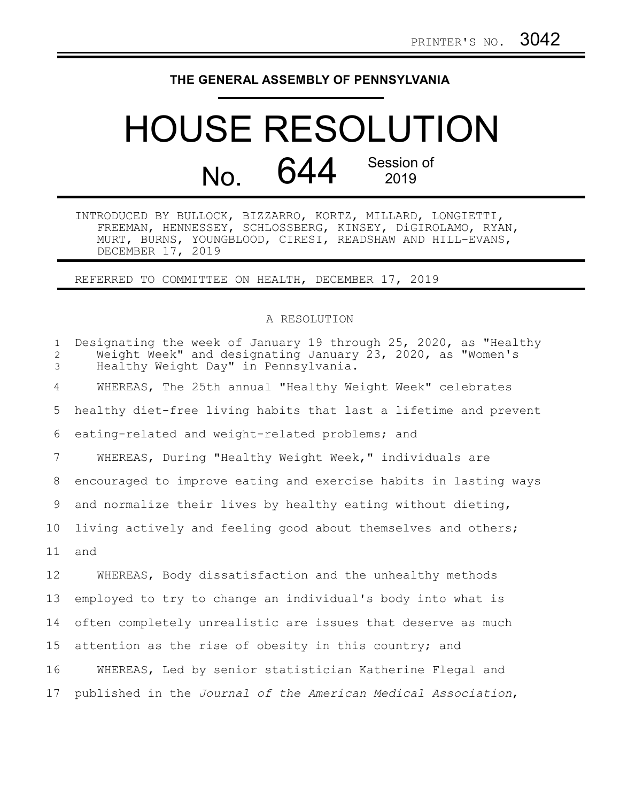## **THE GENERAL ASSEMBLY OF PENNSYLVANIA**

## HOUSE RESOLUTION No. 644 Session of 2019

INTRODUCED BY BULLOCK, BIZZARRO, KORTZ, MILLARD, LONGIETTI, FREEMAN, HENNESSEY, SCHLOSSBERG, KINSEY, DiGIROLAMO, RYAN, MURT, BURNS, YOUNGBLOOD, CIRESI, READSHAW AND HILL-EVANS, DECEMBER 17, 2019

REFERRED TO COMMITTEE ON HEALTH, DECEMBER 17, 2019

## A RESOLUTION

| $\mathbf{1}$<br>$\mathbf{2}^{\prime}$<br>3 | Designating the week of January 19 through 25, 2020, as "Healthy<br>Weight Week" and designating January 23, 2020, as "Women's<br>Healthy Weight Day" in Pennsylvania. |
|--------------------------------------------|------------------------------------------------------------------------------------------------------------------------------------------------------------------------|
| 4                                          | WHEREAS, The 25th annual "Healthy Weight Week" celebrates                                                                                                              |
| 5                                          | healthy diet-free living habits that last a lifetime and prevent                                                                                                       |
| 6                                          | eating-related and weight-related problems; and                                                                                                                        |
| 7                                          | WHEREAS, During "Healthy Weight Week," individuals are                                                                                                                 |
| 8                                          | encouraged to improve eating and exercise habits in lasting ways                                                                                                       |
| 9                                          | and normalize their lives by healthy eating without dieting,                                                                                                           |
| 10 <sub>o</sub>                            | living actively and feeling good about themselves and others;                                                                                                          |
| 11                                         | and                                                                                                                                                                    |
| $12 \,$                                    | WHEREAS, Body dissatisfaction and the unhealthy methods                                                                                                                |
| 13                                         | employed to try to change an individual's body into what is                                                                                                            |
| 14                                         | often completely unrealistic are issues that deserve as much                                                                                                           |
| 15                                         | attention as the rise of obesity in this country; and                                                                                                                  |
| 16                                         | WHEREAS, Led by senior statistician Katherine Flegal and                                                                                                               |
| 17                                         | published in the Journal of the American Medical Association,                                                                                                          |